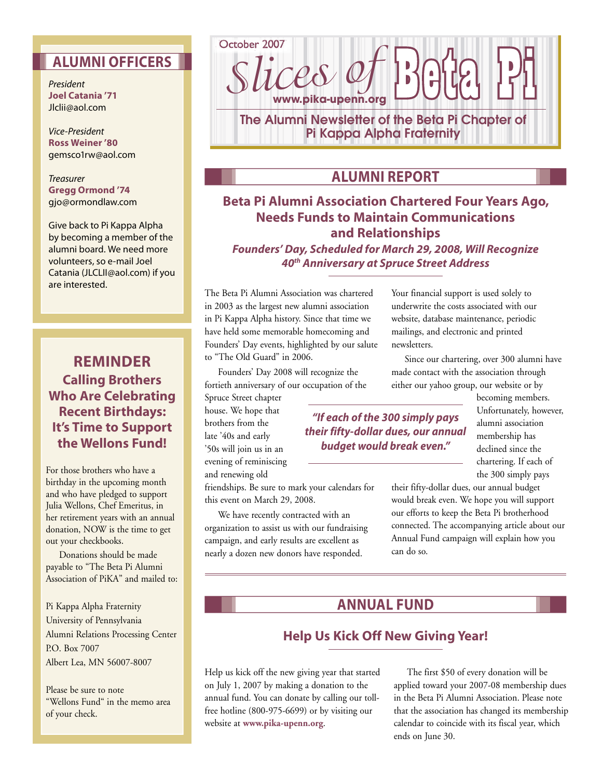## **ALUMNI OFFICERS**

President **Joel Catania '71**  Jlclii@aol.com

Vice-President **Ross Weiner '80**  gemsco1rw@aol.com

**Treasurer Gregg Ormond '74**  gjo@ormondlaw.com

Give back to Pi Kappa Alpha by becoming a member of the alumni board. We need more volunteers, so e-mail Joel Catania (JLCLII@aol.com) if you are interested.

## **REMINDER Calling Brothers Who Are Celebrating Recent Birthdays: It's Time to Support the Wellons Fund!**

For those brothers who have a birthday in the upcoming month and who have pledged to support Julia Wellons, Chef Emeritus, in her retirement years with an annual donation, NOW is the time to get out your checkbooks.

 Donations should be made payable to "The Beta Pi Alumni Association of PiKA" and mailed to:

Pi Kappa Alpha Fraternity University of Pennsylvania Alumni Relations Processing Center P.O. Box 7007 Albert Lea, MN 56007-8007

Please be sure to note "Wellons Fund" in the memo area of your check.



## **ALUMNI REPORT**

## **Beta Pi Alumni Association Chartered Four Years Ago, Needs Funds to Maintain Communications and Relationships**

**Founders' Day, Scheduled for March 29, 2008, Will Recognize 40th Anniversary at Spruce Street Address**

The Beta Pi Alumni Association was chartered in 2003 as the largest new alumni association in Pi Kappa Alpha history. Since that time we have held some memorable homecoming and Founders' Day events, highlighted by our salute to "The Old Guard" in 2006.

 Founders' Day 2008 will recognize the fortieth anniversary of our occupation of the

Spruce Street chapter house. We hope that brothers from the late '40s and early '50s will join us in an evening of reminiscing and renewing old

friendships. Be sure to mark your calendars for this event on March 29, 2008.

 We have recently contracted with an organization to assist us with our fundraising campaign, and early results are excellent as nearly a dozen new donors have responded.

Your financial support is used solely to underwrite the costs associated with our website, database maintenance, periodic mailings, and electronic and printed newsletters.

 Since our chartering, over 300 alumni have made contact with the association through either our yahoo group, our website or by

> becoming members. Unfortunately, however, alumni association membership has declined since the chartering. If each of the 300 simply pays

**"If each of the 300 simply pays their fifty-dollar dues, our annual budget would break even."** 

> their fifty-dollar dues, our annual budget would break even. We hope you will support our efforts to keep the Beta Pi brotherhood connected. The accompanying article about our Annual Fund campaign will explain how you can do so.

## **ANNUAL FUND**

## **Help Us Kick Off New Giving Year!**

Help us kick off the new giving year that started on July 1, 2007 by making a donation to the annual fund. You can donate by calling our tollfree hotline (800-975-6699) or by visiting our website at **www.pika-upenn.org**.

 The first \$50 of every donation will be applied toward your 2007-08 membership dues in the Beta Pi Alumni Association. Please note that the association has changed its membership calendar to coincide with its fiscal year, which ends on June 30.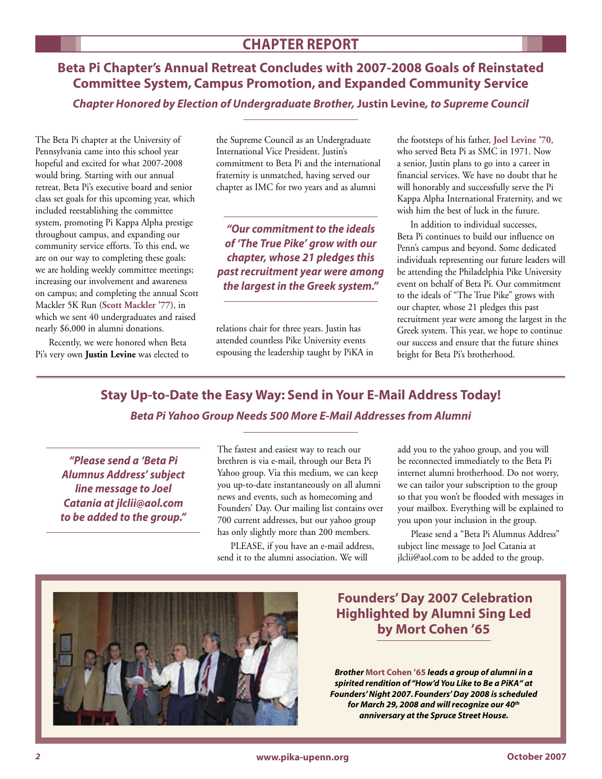**Beta Pi Chapter's Annual Retreat Concludes with 2007-2008 Goals of Reinstated Committee System, Campus Promotion, and Expanded Community Service**

**Chapter Honored by Election of Undergraduate Brother, Justin Levine, to Supreme Council** 

The Beta Pi chapter at the University of Pennsylvania came into this school year hopeful and excited for what 2007-2008 would bring. Starting with our annual retreat, Beta Pi's executive board and senior class set goals for this upcoming year, which included reestablishing the committee system, promoting Pi Kappa Alpha prestige throughout campus, and expanding our community service efforts. To this end, we are on our way to completing these goals: we are holding weekly committee meetings; increasing our involvement and awareness on campus; and completing the annual Scott Mackler 5K Run (**Scott Mackler '77**), in which we sent 40 undergraduates and raised nearly \$6,000 in alumni donations.

 Recently, we were honored when Beta Pi's very own **Justin Levine** was elected to the Supreme Council as an Undergraduate International Vice President. Justin's commitment to Beta Pi and the international fraternity is unmatched, having served our chapter as IMC for two years and as alumni

**"Our commitment to the ideals of 'The True Pike' grow with our chapter, whose 21 pledges this past recruitment year were among the largest in the Greek system."** 

relations chair for three years. Justin has attended countless Pike University events espousing the leadership taught by PiKA in the footsteps of his father, **Joel Levine '70**, who served Beta Pi as SMC in 1971. Now a senior, Justin plans to go into a career in financial services. We have no doubt that he will honorably and successfully serve the Pi Kappa Alpha International Fraternity, and we wish him the best of luck in the future.

 In addition to individual successes, Beta Pi continues to build our influence on Penn's campus and beyond. Some dedicated individuals representing our future leaders will be attending the Philadelphia Pike University event on behalf of Beta Pi. Our commitment to the ideals of "The True Pike" grows with our chapter, whose 21 pledges this past recruitment year were among the largest in the Greek system. This year, we hope to continue our success and ensure that the future shines bright for Beta Pi's brotherhood.

# **Stay Up-to-Date the Easy Way: Send in Your E-Mail Address Today! Beta Pi Yahoo Group Needs 500 More E-Mail Addresses from Alumni**

**"Please send a 'Beta Pi Alumnus Address' subject line message to Joel Catania at jlclii@aol.com to be added to the group."** The fastest and easiest way to reach our brethren is via e-mail, through our Beta Pi Yahoo group. Via this medium, we can keep you up-to-date instantaneously on all alumni news and events, such as homecoming and Founders' Day. Our mailing list contains over 700 current addresses, but our yahoo group has only slightly more than 200 members.

 PLEASE, if you have an e-mail address, send it to the alumni association. We will

add you to the yahoo group, and you will be reconnected immediately to the Beta Pi internet alumni brotherhood. Do not worry, we can tailor your subscription to the group so that you won't be flooded with messages in your mailbox. Everything will be explained to you upon your inclusion in the group.

 Please send a "Beta Pi Alumnus Address" subject line message to Joel Catania at jlclii@aol.com to be added to the group.

## **Founders' Day 2007 Celebration Highlighted by Alumni Sing Led by Mort Cohen '65**

*Brother* **Mort Cohen '65** *leads a group of alumni in a spirited rendition of "How'd You Like to Be a PiKA" at Founders' Night 2007. Founders' Day 2008 is scheduled for March 29, 2008 and will recognize our 40th anniversary at the Spruce Street House.*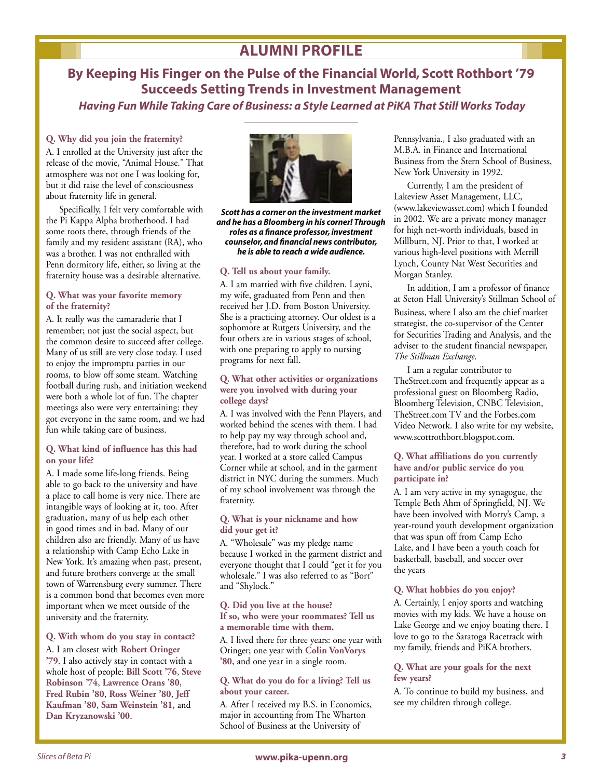## **ALUMNI PROFILE**

**By Keeping His Finger on the Pulse of the Financial World, Scott Rothbort '79 Succeeds Setting Trends in Investment Management**

 **Having Fun While Taking Care of Business: a Style Learned at PiKA That Still Works Today**

### **Q. Why did you join the fraternity?**

A. I enrolled at the University just after the release of the movie, "Animal House." That atmosphere was not one I was looking for, but it did raise the level of consciousness about fraternity life in general.

 Specifically, I felt very comfortable with the Pi Kappa Alpha brotherhood. I had some roots there, through friends of the family and my resident assistant (RA), who was a brother. I was not enthralled with Penn dormitory life, either, so living at the fraternity house was a desirable alternative.

#### **Q. What was your favorite memory of the fraternity?**

A. It really was the camaraderie that I remember; not just the social aspect, but the common desire to succeed after college. Many of us still are very close today. I used to enjoy the impromptu parties in our rooms, to blow off some steam. Watching football during rush, and initiation weekend were both a whole lot of fun. The chapter meetings also were very entertaining: they got everyone in the same room, and we had fun while taking care of business.

#### **Q. What kind of influence has this had on your life?**

A. I made some life-long friends. Being able to go back to the university and have a place to call home is very nice. There are intangible ways of looking at it, too. After graduation, many of us help each other in good times and in bad. Many of our children also are friendly. Many of us have a relationship with Camp Echo Lake in New York. It's amazing when past, present, and future brothers converge at the small town of Warrensburg every summer. There is a common bond that becomes even more important when we meet outside of the university and the fraternity.

#### **Q. With whom do you stay in contact?**

A. I am closest with **Robert Oringer '79**. I also actively stay in contact with a whole host of people: **Bill Scott '76**, **Steve Robinson '74**, **Lawrence Orans '80**, **Fred Rubin '80**, **Ross Weiner '80**, **Jeff Kaufman '80**, **Sam Weinstein '81**, and **Dan Kryzanowski '00**.



*Scott has a corner on the investment market and he has a Bloomberg in his corner! Through roles as a finance professor, investment counselor, and financial news contributor, he is able to reach a wide audience.*

#### **Q. Tell us about your family.**

A. I am married with five children. Layni, my wife, graduated from Penn and then received her J.D. from Boston University. She is a practicing attorney. Our oldest is a sophomore at Rutgers University, and the four others are in various stages of school, with one preparing to apply to nursing programs for next fall.

#### **Q. What other activities or organizations were you involved with during your college days?**

A. I was involved with the Penn Players, and worked behind the scenes with them. I had to help pay my way through school and, therefore, had to work during the school year. I worked at a store called Campus Corner while at school, and in the garment district in NYC during the summers. Much of my school involvement was through the fraternity.

#### **Q. What is your nickname and how did your get it?**

A. "Wholesale" was my pledge name because I worked in the garment district and everyone thought that I could "get it for you wholesale." I was also referred to as "Bort" and "Shylock."

#### **Q. Did you live at the house? If so, who were your roommates? Tell us a memorable time with them.**

A. I lived there for three years: one year with Oringer; one year with **Colin VonVorys '80**, and one year in a single room.

#### **Q. What do you do for a living? Tell us about your career.**

A. After I received my B.S. in Economics, major in accounting from The Wharton School of Business at the University of

Pennsylvania., I also graduated with an M.B.A. in Finance and International Business from the Stern School of Business, New York University in 1992.

 Currently, I am the president of Lakeview Asset Management, LLC, (www.lakeviewasset.com) which I founded in 2002. We are a private money manager for high net-worth individuals, based in Millburn, NJ. Prior to that, I worked at various high-level positions with Merrill Lynch, County Nat West Securities and Morgan Stanley.

 In addition, I am a professor of finance at Seton Hall University's Stillman School of Business, where I also am the chief market strategist, the co-supervisor of the Center for Securities Trading and Analysis, and the adviser to the student financial newspaper, *The Stillman Exchange*.

 I am a regular contributor to TheStreet.com and frequently appear as a professional guest on Bloomberg Radio, Bloomberg Television, CNBC Television, TheStreet.com TV and the Forbes.com Video Network. I also write for my website, www.scottrothbort.blogspot.com.

#### **Q. What affiliations do you currently have and/or public service do you participate in?**

A. I am very active in my synagogue, the Temple Beth Ahm of Springfield, NJ. We have been involved with Morry's Camp, a year-round youth development organization that was spun off from Camp Echo Lake, and I have been a youth coach for basketball, baseball, and soccer over the years

#### **Q. What hobbies do you enjoy?**

A. Certainly, I enjoy sports and watching movies with my kids. We have a house on Lake George and we enjoy boating there. I love to go to the Saratoga Racetrack with my family, friends and PiKA brothers.

#### **Q. What are your goals for the next few years?**

A. To continue to build my business, and see my children through college.